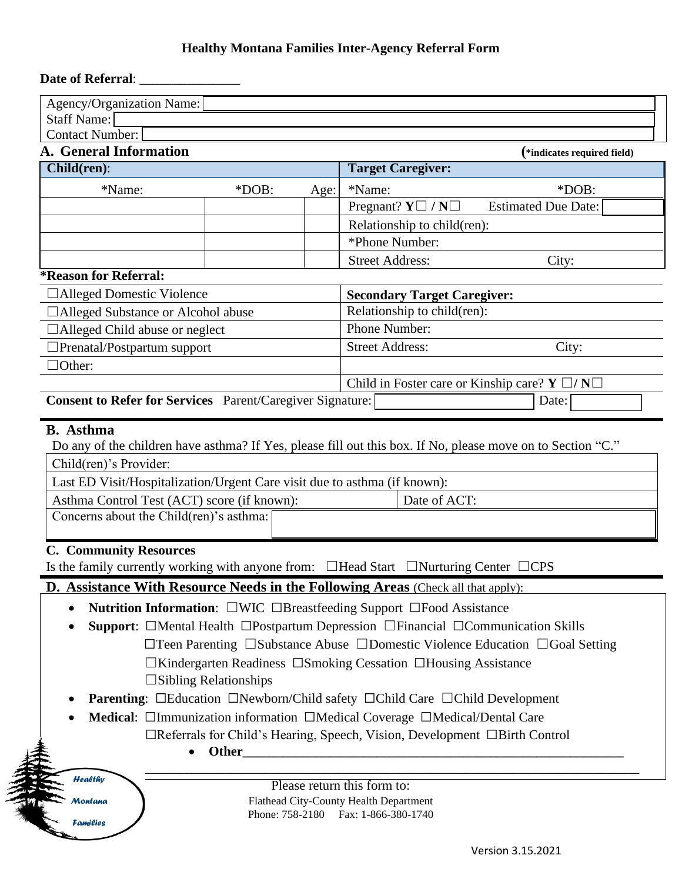## **Healthy Montana Families Inter-Agency Referral Form**

## **Date of Referral**: \_\_\_\_\_\_\_\_\_\_\_\_\_\_\_

| <b>Contact Number:</b><br>A. General Information                                                                                                   |                                 |                                 | (*indicates required field)                                                                                                 |
|----------------------------------------------------------------------------------------------------------------------------------------------------|---------------------------------|---------------------------------|-----------------------------------------------------------------------------------------------------------------------------|
| Child(ren):                                                                                                                                        |                                 |                                 | <b>Target Caregiver:</b>                                                                                                    |
| *Name:                                                                                                                                             |                                 |                                 |                                                                                                                             |
|                                                                                                                                                    | $*DOB:$                         | Age:                            | *Name:<br>$*DOB:$<br>Pregnant? $Y \square / N \square$<br><b>Estimated Due Date:</b>                                        |
|                                                                                                                                                    |                                 |                                 |                                                                                                                             |
|                                                                                                                                                    |                                 |                                 | Relationship to child(ren):<br>*Phone Number:                                                                               |
|                                                                                                                                                    |                                 |                                 | <b>Street Address:</b>                                                                                                      |
| <i><b>*Reason for Referral:</b></i>                                                                                                                |                                 |                                 | City:                                                                                                                       |
| □Alleged Domestic Violence                                                                                                                         |                                 |                                 | <b>Secondary Target Caregiver:</b>                                                                                          |
| Alleged Substance or Alcohol abuse                                                                                                                 |                                 |                                 | Relationship to child(ren):                                                                                                 |
| Alleged Child abuse or neglect                                                                                                                     |                                 | Phone Number:                   |                                                                                                                             |
| Prenatal/Postpartum support                                                                                                                        |                                 | <b>Street Address:</b><br>City: |                                                                                                                             |
| $\exists$ Other:                                                                                                                                   |                                 |                                 |                                                                                                                             |
|                                                                                                                                                    |                                 |                                 | Child in Foster care or Kinship care? $Y \Box / N \Box$                                                                     |
| Consent to Refer for Services Parent/Caregiver Signature:                                                                                          |                                 |                                 | Date:                                                                                                                       |
| Child(ren)'s Provider:<br>Last ED Visit/Hospitalization/Urgent Care visit due to asthma (if known):<br>Asthma Control Test (ACT) score (if known): |                                 |                                 | Do any of the children have asthma? If Yes, please fill out this box. If No, please move on to Section "C."<br>Date of ACT: |
| Concerns about the Child(ren)'s asthma:                                                                                                            |                                 |                                 |                                                                                                                             |
|                                                                                                                                                    |                                 |                                 | Is the family currently working with anyone from: $\Box$ Head Start $\Box$ Nurturing Center $\Box$ CPS                      |
|                                                                                                                                                    |                                 |                                 | D. Assistance With Resource Needs in the Following Areas (Check all that apply):                                            |
| ٠                                                                                                                                                  |                                 |                                 | <b>Nutrition Information:</b> $\square$ WIC $\square$ Breastfeeding Support $\square$ Food Assistance                       |
|                                                                                                                                                    |                                 |                                 | Support: □Mental Health □Postpartum Depression □Financial □Communication Skills                                             |
|                                                                                                                                                    |                                 |                                 | $\Box$ Teen Parenting $\Box$ Substance Abuse $\Box$ Domestic Violence Education $\Box$ Goal Setting                         |
|                                                                                                                                                    |                                 |                                 | $\Box$ Kindergarten Readiness $\Box$ Smoking Cessation $\Box$ Housing Assistance                                            |
|                                                                                                                                                    | $\square$ Sibling Relationships |                                 |                                                                                                                             |
|                                                                                                                                                    |                                 |                                 | <b>Parenting:</b> □Education □Newborn/Child safety □Child Care □Child Development                                           |
|                                                                                                                                                    |                                 |                                 | Medical: □Immunization information □Medical Coverage □Medical/Dental Care                                                   |
|                                                                                                                                                    |                                 |                                 | $\Box$ Referrals for Child's Hearing, Speech, Vision, Development $\Box$ Birth Control                                      |
|                                                                                                                                                    | Other_                          |                                 |                                                                                                                             |
| <b>C. Community Resources</b><br><b>Healthy</b>                                                                                                    |                                 |                                 | Please return this form to:                                                                                                 |